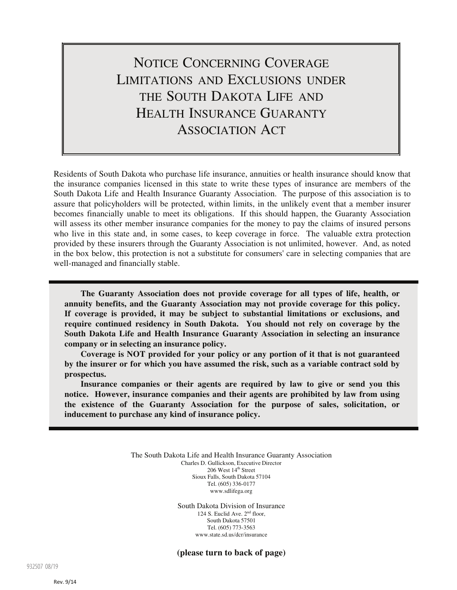# NOTICE CONCERNING COVERAGE LIMITATIONS AND EXCLUSIONS UNDER THE SOUTH DAKOTA LIFE AND HEALTH INSURANCE GUARANTY ASSOCIATION ACT

Residents of South Dakota who purchase life insurance, annuities or health insurance should know that the insurance companies licensed in this state to write these types of insurance are members of the South Dakota Life and Health Insurance Guaranty Association. The purpose of this association is to assure that policyholders will be protected, within limits, in the unlikely event that a member insurer becomes financially unable to meet its obligations. If this should happen, the Guaranty Association will assess its other member insurance companies for the money to pay the claims of insured persons who live in this state and, in some cases, to keep coverage in force. The valuable extra protection provided by these insurers through the Guaranty Association is not unlimited, however. And, as noted in the box below, this protection is not a substitute for consumers' care in selecting companies that are well-managed and financially stable.

**The Guaranty Association does not provide coverage for all types of life, health, or annuity benefits, and the Guaranty Association may not provide coverage for this policy. If coverage is provided, it may be subject to substantial limitations or exclusions, and require continued residency in South Dakota. You should not rely on coverage by the South Dakota Life and Health Insurance Guaranty Association in selecting an insurance company or in selecting an insurance policy.**

**Coverage is NOT provided for your policy or any portion of it that is not guaranteed by the insurer or for which you have assumed the risk, such as a variable contract sold by prospectus.**

**Insurance companies or their agents are required by law to give or send you this notice. However, insurance companies and their agents are prohibited by law from using the existence of the Guaranty Association for the purpose of sales, solicitation, or inducement to purchase any kind of insurance policy.**

> The South Dakota Life and Health Insurance Guaranty Association Charles D. Gullickson, Executive Director  $206$  West  $14<sup>th</sup>$  Street Sioux Falls, South Dakota 57104 Tel. (605) 336-0177 www.sdlifega.org

> > South Dakota Division of Insurance 124 S. Euclid Ave. 2nd floor, South Dakota 57501 Tel. (605) 773-3563 www.state.sd.us/dcr/insurance

> > **(please turn to back of page)**